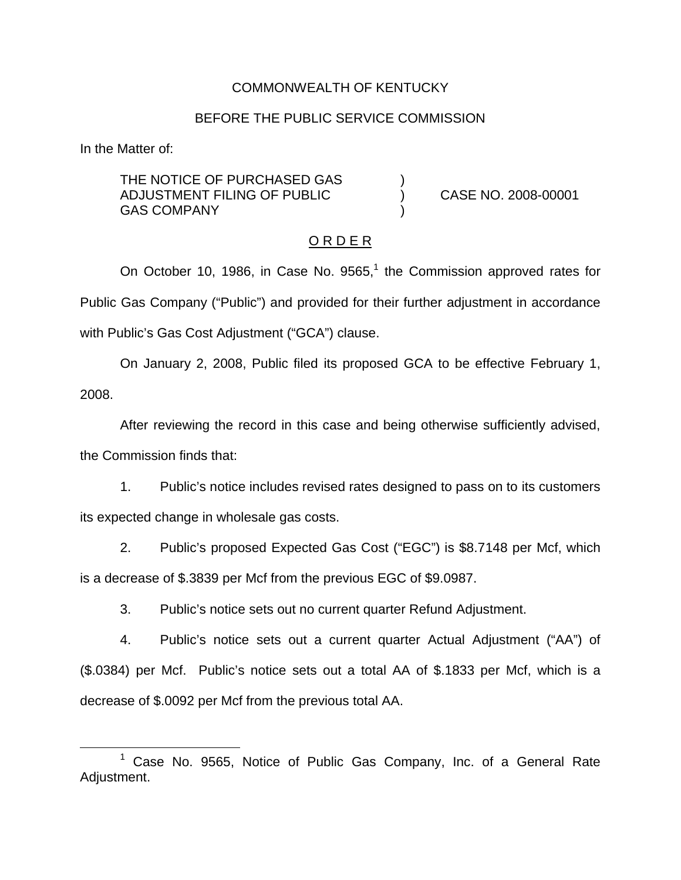### COMMONWEALTH OF KENTUCKY

### BEFORE THE PUBLIC SERVICE COMMISSION

In the Matter of:

THE NOTICE OF PURCHASED GAS ADJUSTMENT FILING OF PUBLIC ) CASE NO. 2008-00001 **GAS COMPANY** 

### O R D E R

On October 10, 1986, in Case No.  $9565<sup>1</sup>$ , the Commission approved rates for Public Gas Company ("Public") and provided for their further adjustment in accordance with Public's Gas Cost Adjustment ("GCA") clause.

On January 2, 2008, Public filed its proposed GCA to be effective February 1, 2008.

After reviewing the record in this case and being otherwise sufficiently advised, the Commission finds that:

1. Public's notice includes revised rates designed to pass on to its customers its expected change in wholesale gas costs.

2. Public's proposed Expected Gas Cost ("EGC") is \$8.7148 per Mcf, which is a decrease of \$.3839 per Mcf from the previous EGC of \$9.0987.

3. Public's notice sets out no current quarter Refund Adjustment.

4. Public's notice sets out a current quarter Actual Adjustment ("AA") of (\$.0384) per Mcf. Public's notice sets out a total AA of \$.1833 per Mcf, which is a decrease of \$.0092 per Mcf from the previous total AA.

 $1$  Case No. 9565, Notice of Public Gas Company, Inc. of a General Rate Adjustment.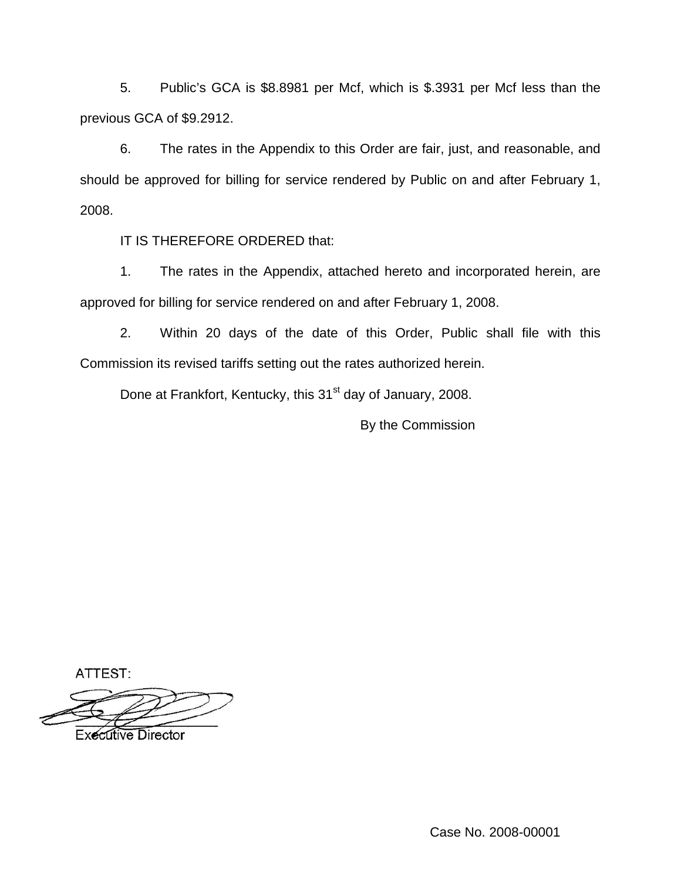5. Public's GCA is \$8.8981 per Mcf, which is \$.3931 per Mcf less than the previous GCA of \$9.2912.

6. The rates in the Appendix to this Order are fair, just, and reasonable, and should be approved for billing for service rendered by Public on and after February 1, 2008.

IT IS THEREFORE ORDERED that:

1. The rates in the Appendix, attached hereto and incorporated herein, are approved for billing for service rendered on and after February 1, 2008.

2. Within 20 days of the date of this Order, Public shall file with this Commission its revised tariffs setting out the rates authorized herein.

Done at Frankfort, Kentucky, this 31<sup>st</sup> day of January, 2008.

By the Commission

ATTEST:

**Executive Director** 

Case No. 2008-00001